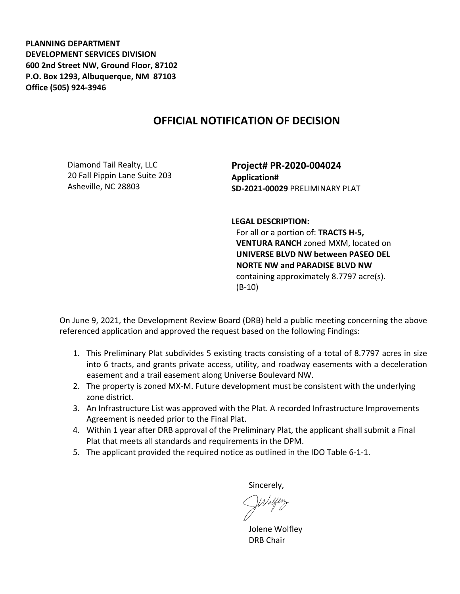**PLANNING DEPARTMENT DEVELOPMENT SERVICES DIVISION 600 2nd Street NW, Ground Floor, 87102 P.O. Box 1293, Albuquerque, NM 87103 Office (505) 924-3946** 

## **OFFICIAL NOTIFICATION OF DECISION**

Diamond Tail Realty, LLC 20 Fall Pippin Lane Suite 203 Asheville, NC 28803

**Project# PR-2020-004024 Application# SD-2021-00029** PRELIMINARY PLAT

**LEGAL DESCRIPTION:**

For all or a portion of: **TRACTS H-5, VENTURA RANCH** zoned MXM, located on **UNIVERSE BLVD NW between PASEO DEL NORTE NW and PARADISE BLVD NW**  containing approximately 8.7797 acre(s). (B-10)

On June 9, 2021, the Development Review Board (DRB) held a public meeting concerning the above referenced application and approved the request based on the following Findings:

- 1. This Preliminary Plat subdivides 5 existing tracts consisting of a total of 8.7797 acres in size into 6 tracts, and grants private access, utility, and roadway easements with a deceleration easement and a trail easement along Universe Boulevard NW.
- 2. The property is zoned MX-M. Future development must be consistent with the underlying zone district.
- 3. An Infrastructure List was approved with the Plat. A recorded Infrastructure Improvements Agreement is needed prior to the Final Plat.
- 4. Within 1 year after DRB approval of the Preliminary Plat, the applicant shall submit a Final Plat that meets all standards and requirements in the DPM.
- 5. The applicant provided the required notice as outlined in the IDO Table 6-1-1.

Sincerely,

Jolene Wolfley DRB Chair